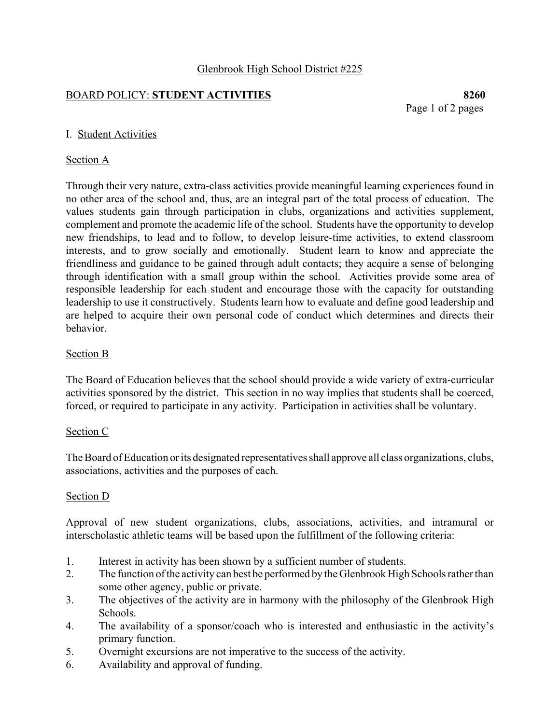#### Glenbrook High School District #225

### BOARD POLICY: **STUDENT ACTIVITIES 8260**

Page 1 of 2 pages

### I. Student Activities

#### Section A

Through their very nature, extra-class activities provide meaningful learning experiences found in no other area of the school and, thus, are an integral part of the total process of education. The values students gain through participation in clubs, organizations and activities supplement, complement and promote the academic life of the school. Students have the opportunity to develop new friendships, to lead and to follow, to develop leisure-time activities, to extend classroom interests, and to grow socially and emotionally. Student learn to know and appreciate the friendliness and guidance to be gained through adult contacts; they acquire a sense of belonging through identification with a small group within the school. Activities provide some area of responsible leadership for each student and encourage those with the capacity for outstanding leadership to use it constructively. Students learn how to evaluate and define good leadership and are helped to acquire their own personal code of conduct which determines and directs their behavior.

### Section B

The Board of Education believes that the school should provide a wide variety of extra-curricular activities sponsored by the district. This section in no way implies that students shall be coerced, forced, or required to participate in any activity. Participation in activities shall be voluntary.

#### Section C

The Board of Education or its designated representatives shall approve all class organizations, clubs, associations, activities and the purposes of each.

#### Section D

Approval of new student organizations, clubs, associations, activities, and intramural or interscholastic athletic teams will be based upon the fulfillment of the following criteria:

- 1. Interest in activity has been shown by a sufficient number of students.
- 2. The function of the activity can best be performed by the Glenbrook High Schools rather than some other agency, public or private.
- 3. The objectives of the activity are in harmony with the philosophy of the Glenbrook High Schools.
- 4. The availability of a sponsor/coach who is interested and enthusiastic in the activity's primary function.
- 5. Overnight excursions are not imperative to the success of the activity.
- 6. Availability and approval of funding.